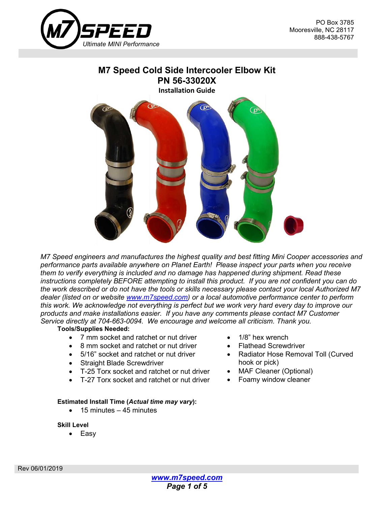

# **M7 Speed Cold Side Intercooler Elbow Kit PN 56-33020X**



*M7 Speed engineers and manufactures the highest quality and best fitting Mini Cooper accessories and performance parts available anywhere on Planet Earth! Please inspect your parts when you receive them to verify everything is included and no damage has happened during shipment. Read these instructions completely BEFORE attempting to install this product. If you are not confident you can do the work described or do not have the tools or skills necessary please contact your local Authorized M7 dealer (listed on or website [www.m7speed.com\)](http://www.m7speed.com/) or a local automotive performance center to perform this work. We acknowledge not everything is perfect but we work very hard every day to improve our products and make installations easier. If you have any comments please contact M7 Customer Service directly at 704-663-0094. We encourage and welcome all criticism. Thank you.*

## **Tools/Supplies Needed:**

- 7 mm socket and ratchet or nut driver
- 8 mm socket and ratchet or nut driver
- 5/16" socket and ratchet or nut driver
- Straight Blade Screwdriver
- T-25 Torx socket and ratchet or nut driver
- T-27 Torx socket and ratchet or nut driver

## **Estimated Install Time (***Actual time may vary***):**

 $\bullet$  15 minutes  $-45$  minutes

## **Skill Level**

• Easy

- 1/8" hex wrench
- Flathead Screwdriver
- Radiator Hose Removal Toll (Curved hook or pick)
- MAF Cleaner (Optional)
- Foamy window cleaner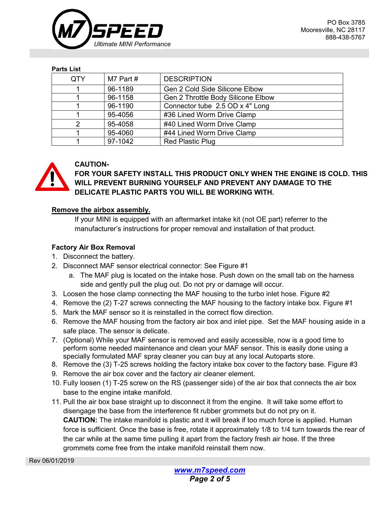

#### **Parts List**

| QTY | M7 Part # | <b>DESCRIPTION</b>                 |
|-----|-----------|------------------------------------|
|     | 96-1189   | Gen 2 Cold Side Silicone Elbow     |
|     | 96-1158   | Gen 2 Throttle Body Silicone Elbow |
|     | 96-1190   | Connector tube 2.5 OD x 4" Long    |
|     | 95-4056   | #36 Lined Worm Drive Clamp         |
| 2   | 95-4058   | #40 Lined Worm Drive Clamp         |
|     | 95-4060   | #44 Lined Worm Drive Clamp         |
|     | 97-1042   | <b>Red Plastic Plug</b>            |



# **CAUTION-**

**FOR YOUR SAFETY INSTALL THIS PRODUCT ONLY WHEN THE ENGINE IS COLD. THIS WILL PREVENT BURNING YOURSELF AND PREVENT ANY DAMAGE TO THE DELICATE PLASTIC PARTS YOU WILL BE WORKING WITH.**

# **Remove the airbox assembly.**

If your MINI is equipped with an aftermarket intake kit (not OE part) referrer to the manufacturer's instructions for proper removal and installation of that product.

# **Factory Air Box Removal**

- 1. Disconnect the battery.
- 2. Disconnect MAF sensor electrical connector: See Figure #1
	- a. The MAF plug is located on the intake hose. Push down on the small tab on the harness side and gently pull the plug out. Do not pry or damage will occur.
- 3. Loosen the hose clamp connecting the MAF housing to the turbo inlet hose. Figure #2
- 4. Remove the (2) T-27 screws connecting the MAF housing to the factory intake box. Figure #1
- 5. Mark the MAF sensor so it is reinstalled in the correct flow direction.
- 6. Remove the MAF housing from the factory air box and inlet pipe. Set the MAF housing aside in a safe place. The sensor is delicate.
- 7. (Optional) While your MAF sensor is removed and easily accessible, now is a good time to perform some needed maintenance and clean your MAF sensor. This is easily done using a specially formulated MAF spray cleaner you can buy at any local Autoparts store.
- 8. Remove the (3) T-25 screws holding the factory intake box cover to the factory base. Figure #3
- 9. Remove the air box cover and the factory air cleaner element.
- 10. Fully loosen (1) T-25 screw on the RS (passenger side) of the air box that connects the air box base to the engine intake manifold.
- 11. Pull the air box base straight up to disconnect it from the engine. It will take some effort to disengage the base from the interference fit rubber grommets but do not pry on it. **CAUTION:** The intake manifold is plastic and it will break if too much force is applied. Human force is sufficient. Once the base is free, rotate it approximately 1/8 to 1/4 turn towards the rear of the car while at the same time pulling it apart from the factory fresh air hose. If the three grommets come free from the intake manifold reinstall them now.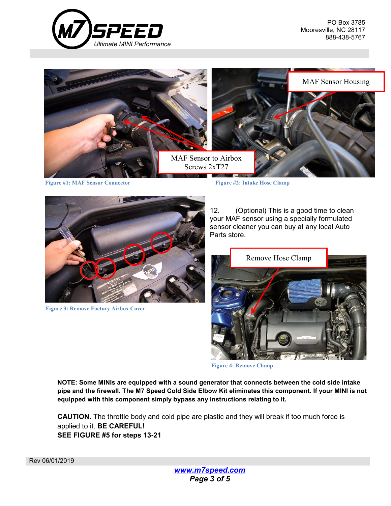



**Figure #1: MAF Sensor Connector Figure #2: Intake Hose Clamp**



**Figure 3: Remove Factory Airbox Cover**

12. (Optional) This is a good time to clean your MAF sensor using a specially formulated sensor cleaner you can buy at any local Auto Parts store.



**Figure 4: Remove Clamp**

**NOTE: Some MINIs are equipped with a sound generator that connects between the cold side intake pipe and the firewall. The M7 Speed Cold Side Elbow Kit eliminates this component. If your MINI is not equipped with this component simply bypass any instructions relating to it.**

**CAUTION**. The throttle body and cold pipe are plastic and they will break if too much force is applied to it. **BE CAREFUL! SEE FIGURE #5 for steps 13-21**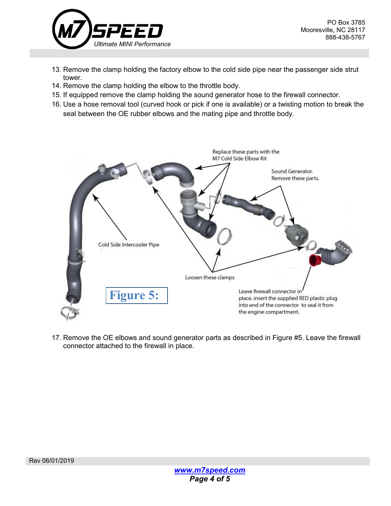

- 13. Remove the clamp holding the factory elbow to the cold side pipe near the passenger side strut tower.
- 14. Remove the clamp holding the elbow to the throttle body.
- 15. If equipped remove the clamp holding the sound generator hose to the firewall connector.
- 16. Use a hose removal tool (curved hook or pick if one is available) or a twisting motion to break the seal between the OE rubber elbows and the mating pipe and throttle body.



17. Remove the OE elbows and sound generator parts as described in Figure #5. Leave the firewall connector attached to the firewall in place.